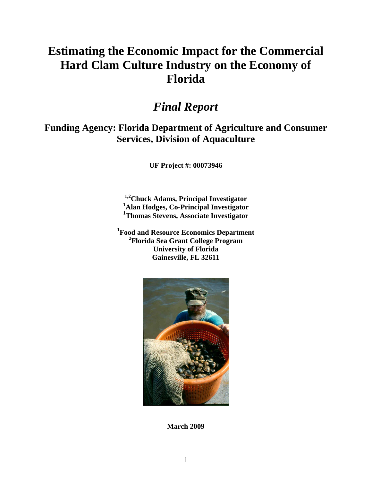# **Estimating the Economic Impact for the Commercial Hard Clam Culture Industry on the Economy of Florida**

## *Final Report*

## **Funding Agency: Florida Department of Agriculture and Consumer Services, Division of Aquaculture**

**UF Project #: 00073946**

**1,2Chuck Adams, Principal Investigator <sup>1</sup>Alan Hodges, Co-Principal Investigator <sup>1</sup>Thomas Stevens, Associate Investigator**

**1 Food and Resource Economics Department 2 Florida Sea Grant College Program University of Florida Gainesville, FL 32611**



**March 2009**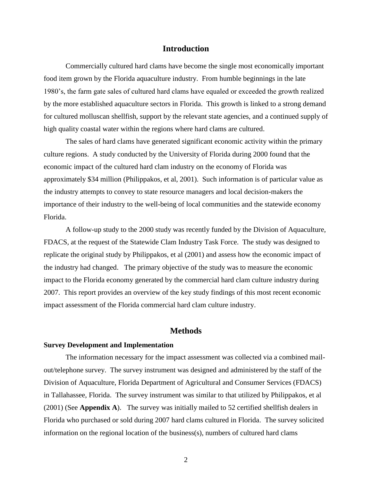#### **Introduction**

Commercially cultured hard clams have become the single most economically important food item grown by the Florida aquaculture industry. From humble beginnings in the late 1980's, the farm gate sales of cultured hard clams have equaled or exceeded the growth realized by the more established aquaculture sectors in Florida. This growth is linked to a strong demand for cultured molluscan shellfish, support by the relevant state agencies, and a continued supply of high quality coastal water within the regions where hard clams are cultured.

The sales of hard clams have generated significant economic activity within the primary culture regions. A study conducted by the University of Florida during 2000 found that the economic impact of the cultured hard clam industry on the economy of Florida was approximately \$34 million (Philippakos, et al, 2001). Such information is of particular value as the industry attempts to convey to state resource managers and local decision-makers the importance of their industry to the well-being of local communities and the statewide economy Florida.

A follow-up study to the 2000 study was recently funded by the Division of Aquaculture, FDACS, at the request of the Statewide Clam Industry Task Force. The study was designed to replicate the original study by Philippakos, et al (2001) and assess how the economic impact of the industry had changed. The primary objective of the study was to measure the economic impact to the Florida economy generated by the commercial hard clam culture industry during 2007. This report provides an overview of the key study findings of this most recent economic impact assessment of the Florida commercial hard clam culture industry.

### **Methods**

#### **Survey Development and Implementation**

The information necessary for the impact assessment was collected via a combined mailout/telephone survey. The survey instrument was designed and administered by the staff of the Division of Aquaculture, Florida Department of Agricultural and Consumer Services (FDACS) in Tallahassee, Florida. The survey instrument was similar to that utilized by Philippakos, et al (2001) (See **Appendix A**). The survey was initially mailed to 52 certified shellfish dealers in Florida who purchased or sold during 2007 hard clams cultured in Florida. The survey solicited information on the regional location of the business $(s)$ , numbers of cultured hard clams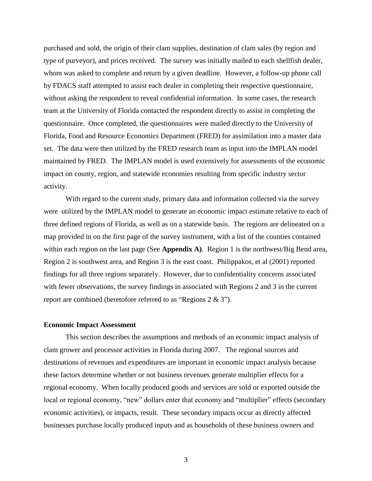purchased and sold, the origin of their clam supplies, destination of clam sales (by region and type of purveyor), and prices received. The survey was initially mailed to each shellfish dealer, whom was asked to complete and return by a given deadline. However, a follow-up phone call by FDACS staff attempted to assist each dealer in completing their respective questionnaire, without asking the respondent to reveal confidential information. In some cases, the research team at the University of Florida contacted the respondent directly to assist in completing the questionnaire. Once completed, the questionnaires were mailed directly to the University of Florida, Food and Resource Economics Department (FRED) for assimilation into a master data set. The data were then utilized by the FRED research team as input into the IMPLAN model maintained by FRED. The IMPLAN model is used extensively for assessments of the economic impact on county, region, and statewide economies resulting from specific industry sector activity.

With regard to the current study, primary data and information collected via the survey were utilized by the IMPLAN model to generate an economic impact estimate relative to each of three defined regions of Florida, as well as on a statewide basis. The regions are delineated on a map provided in on the first page of the survey instrument, with a list of the counties contained within each region on the last page (See **Appendix A)**. Region 1 is the northwest/Big Bend area, Region 2 is southwest area, and Region 3 is the east coast. Philippakos, et al (2001) reported findings for all three regions separately. However, due to confidentiality concerns associated with fewer observations, the survey findings in associated with Regions 2 and 3 in the current report are combined (heretofore referred to as "Regions 2 & 3").

#### **Economic Impact Assessment**

This section describes the assumptions and methods of an economic impact analysis of clam grower and processor activities in Florida during 2007. The regional sources and destinations of revenues and expenditures are important in economic impact analysis because these factors determine whether or not business revenues generate multiplier effects for a regional economy. When locally produced goods and services are sold or exported outside the local or regional economy, "new" dollars enter that economy and "multiplier" effects (secondary economic activities), or impacts, result. These secondary impacts occur as directly affected businesses purchase locally produced inputs and as households of these business owners and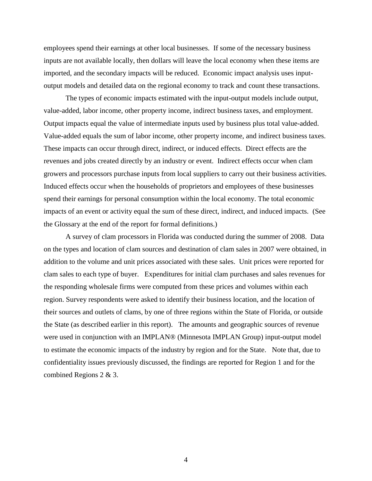employees spend their earnings at other local businesses. If some of the necessary business inputs are not available locally, then dollars will leave the local economy when these items are imported, and the secondary impacts will be reduced. Economic impact analysis uses inputoutput models and detailed data on the regional economy to track and count these transactions.

The types of economic impacts estimated with the input-output models include output, value-added, labor income, other property income, indirect business taxes, and employment. Output impacts equal the value of intermediate inputs used by business plus total value-added. Value-added equals the sum of labor income, other property income, and indirect business taxes. These impacts can occur through direct, indirect, or induced effects. Direct effects are the revenues and jobs created directly by an industry or event. Indirect effects occur when clam growers and processors purchase inputs from local suppliers to carry out their business activities. Induced effects occur when the households of proprietors and employees of these businesses spend their earnings for personal consumption within the local economy. The total economic impacts of an event or activity equal the sum of these direct, indirect, and induced impacts. (See the Glossary at the end of the report for formal definitions.)

A survey of clam processors in Florida was conducted during the summer of 2008. Data on the types and location of clam sources and destination of clam sales in 2007 were obtained, in addition to the volume and unit prices associated with these sales. Unit prices were reported for clam sales to each type of buyer. Expenditures for initial clam purchases and sales revenues for the responding wholesale firms were computed from these prices and volumes within each region. Survey respondents were asked to identify their business location, and the location of their sources and outlets of clams, by one of three regions within the State of Florida, or outside the State (as described earlier in this report). The amounts and geographic sources of revenue were used in conjunction with an IMPLAN® (Minnesota IMPLAN Group) input-output model to estimate the economic impacts of the industry by region and for the State. Note that, due to confidentiality issues previously discussed, the findings are reported for Region 1 and for the combined Regions 2 & 3.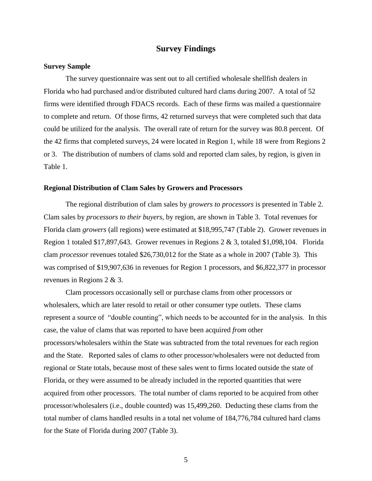### **Survey Findings**

#### **Survey Sample**

The survey questionnaire was sent out to all certified wholesale shellfish dealers in Florida who had purchased and/or distributed cultured hard clams during 2007. A total of 52 firms were identified through FDACS records. Each of these firms was mailed a questionnaire to complete and return. Of those firms, 42 returned surveys that were completed such that data could be utilized for the analysis. The overall rate of return for the survey was 80.8 percent. Of the 42 firms that completed surveys, 24 were located in Region 1, while 18 were from Regions 2 or 3. The distribution of numbers of clams sold and reported clam sales, by region, is given in Table 1.

#### **Regional Distribution of Clam Sales by Growers and Processors**

The regional distribution of clam sales by *growers to processors* is presented in Table 2. Clam sales by *processors to their buyers*, by region, are shown in Table 3. Total revenues for Florida clam *growers* (all regions) were estimated at \$18,995,747 (Table 2). Grower revenues in Region 1 totaled \$17,897,643. Grower revenues in Regions 2 & 3, totaled \$1,098,104. Florida clam *processor* revenues totaled \$26,730,012 for the State as a whole in 2007 (Table 3). This was comprised of \$19,907,636 in revenues for Region 1 processors, and \$6,822,377 in processor revenues in Regions 2 & 3.

Clam processors occasionally sell or purchase clams from other processors or wholesalers, which are later resold to retail or other consumer type outlets. These clams represent a source of "double counting", which needs to be accounted for in the analysis. In this case, the value of clams that was reported to have been acquired *from* other processors/wholesalers within the State was subtracted from the total revenues for each region and the State. Reported sales of clams *to* other processor/wholesalers were not deducted from regional or State totals, because most of these sales went to firms located outside the state of Florida, or they were assumed to be already included in the reported quantities that were acquired from other processors. The total number of clams reported to be acquired from other processor/wholesalers (i.e., double counted) was 15,499,260. Deducting these clams from the total number of clams handled results in a total net volume of 184,776,784 cultured hard clams for the State of Florida during 2007 (Table 3).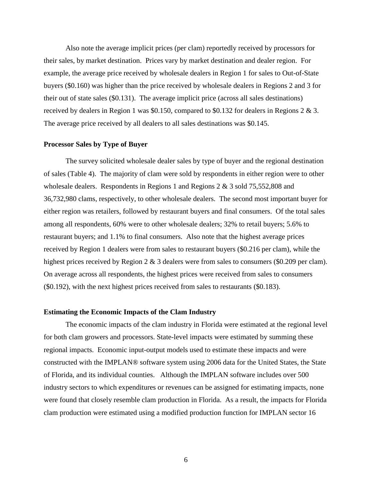Also note the average implicit prices (per clam) reportedly received by processors for their sales, by market destination. Prices vary by market destination and dealer region. For example, the average price received by wholesale dealers in Region 1 for sales to Out-of-State buyers (\$0.160) was higher than the price received by wholesale dealers in Regions 2 and 3 for their out of state sales (\$0.131). The average implicit price (across all sales destinations) received by dealers in Region 1 was \$0.150, compared to \$0.132 for dealers in Regions 2 & 3. The average price received by all dealers to all sales destinations was \$0.145.

#### **Processor Sales by Type of Buyer**

The survey solicited wholesale dealer sales by type of buyer and the regional destination of sales (Table 4). The majority of clam were sold by respondents in either region were to other wholesale dealers. Respondents in Regions 1 and Regions 2 & 3 sold 75,552,808 and 36,732,980 clams, respectively, to other wholesale dealers. The second most important buyer for either region was retailers, followed by restaurant buyers and final consumers. Of the total sales among all respondents, 60% were to other wholesale dealers; 32% to retail buyers; 5.6% to restaurant buyers; and 1.1% to final consumers. Also note that the highest average prices received by Region 1 dealers were from sales to restaurant buyers (\$0.216 per clam), while the highest prices received by Region 2 & 3 dealers were from sales to consumers (\$0.209 per clam). On average across all respondents, the highest prices were received from sales to consumers (\$0.192), with the next highest prices received from sales to restaurants (\$0.183).

#### **Estimating the Economic Impacts of the Clam Industry**

The economic impacts of the clam industry in Florida were estimated at the regional level for both clam growers and processors. State-level impacts were estimated by summing these regional impacts. Economic input-output models used to estimate these impacts and were constructed with the IMPLAN® software system using 2006 data for the United States, the State of Florida, and its individual counties. Although the IMPLAN software includes over 500 industry sectors to which expenditures or revenues can be assigned for estimating impacts, none were found that closely resemble clam production in Florida. As a result, the impacts for Florida clam production were estimated using a modified production function for IMPLAN sector 16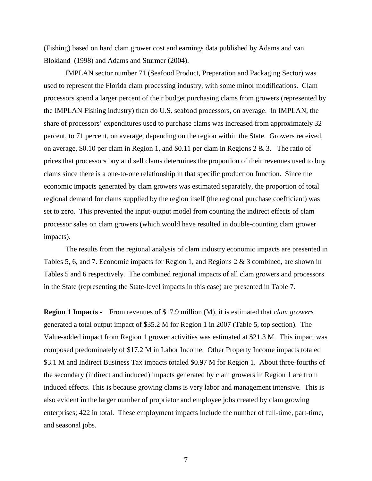(Fishing) based on hard clam grower cost and earnings data published by Adams and van Blokland (1998) and Adams and Sturmer (2004).

IMPLAN sector number 71 (Seafood Product, Preparation and Packaging Sector) was used to represent the Florida clam processing industry, with some minor modifications. Clam processors spend a larger percent of their budget purchasing clams from growers (represented by the IMPLAN Fishing industry) than do U.S. seafood processors, on average. In IMPLAN, the share of processors' expenditures used to purchase clams was increased from approximately 32 percent, to 71 percent, on average, depending on the region within the State. Growers received, on average, \$0.10 per clam in Region 1, and \$0.11 per clam in Regions 2 & 3. The ratio of prices that processors buy and sell clams determines the proportion of their revenues used to buy clams since there is a one-to-one relationship in that specific production function. Since the economic impacts generated by clam growers was estimated separately, the proportion of total regional demand for clams supplied by the region itself (the regional purchase coefficient) was set to zero. This prevented the input-output model from counting the indirect effects of clam processor sales on clam growers (which would have resulted in double-counting clam grower impacts).

The results from the regional analysis of clam industry economic impacts are presented in Tables 5, 6, and 7. Economic impacts for Region 1, and Regions 2 & 3 combined, are shown in Tables 5 and 6 respectively. The combined regional impacts of all clam growers and processors in the State (representing the State-level impacts in this case) are presented in Table 7.

**Region 1 Impacts -** From revenues of \$17.9 million (M), it is estimated that *clam growers* generated a total output impact of \$35.2 M for Region 1 in 2007 (Table 5, top section). The Value-added impact from Region 1 grower activities was estimated at \$21.3 M. This impact was composed predominately of \$17.2 M in Labor Income. Other Property Income impacts totaled \$3.1 M and Indirect Business Tax impacts totaled \$0.97 M for Region 1. About three-fourths of the secondary (indirect and induced) impacts generated by clam growers in Region 1 are from induced effects. This is because growing clams is very labor and management intensive. This is also evident in the larger number of proprietor and employee jobs created by clam growing enterprises; 422 in total. These employment impacts include the number of full-time, part-time, and seasonal jobs.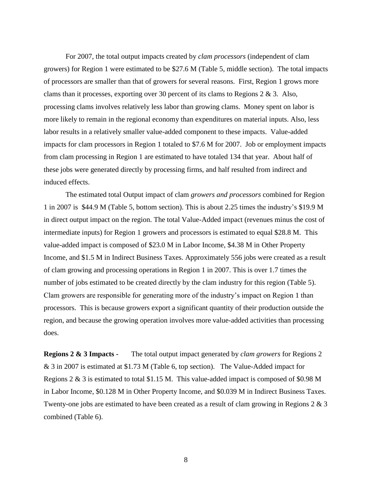For 2007, the total output impacts created by *clam processors* (independent of clam growers) for Region 1 were estimated to be \$27.6 M (Table 5, middle section). The total impacts of processors are smaller than that of growers for several reasons. First, Region 1 grows more clams than it processes, exporting over 30 percent of its clams to Regions  $2 \& 3$ . Also, processing clams involves relatively less labor than growing clams. Money spent on labor is more likely to remain in the regional economy than expenditures on material inputs. Also, less labor results in a relatively smaller value-added component to these impacts. Value-added impacts for clam processors in Region 1 totaled to \$7.6 M for 2007. Job or employment impacts from clam processing in Region 1 are estimated to have totaled 134 that year. About half of these jobs were generated directly by processing firms, and half resulted from indirect and induced effects.

The estimated total Output impact of clam *growers and processors* combined for Region 1 in 2007 is \$44.9 M (Table 5, bottom section). This is about 2.25 times the industry's \$19.9 M in direct output impact on the region. The total Value-Added impact (revenues minus the cost of intermediate inputs) for Region 1 growers and processors is estimated to equal \$28.8 M. This value-added impact is composed of \$23.0 M in Labor Income, \$4.38 M in Other Property Income, and \$1.5 M in Indirect Business Taxes. Approximately 556 jobs were created as a result of clam growing and processing operations in Region 1 in 2007. This is over 1.7 times the number of jobs estimated to be created directly by the clam industry for this region (Table 5). Clam growers are responsible for generating more of the industry's impact on Region 1 than processors. This is because growers export a significant quantity of their production outside the region, and because the growing operation involves more value-added activities than processing does.

**Regions 2 & 3 Impacts -** The total output impact generated by *clam growers* for Regions 2 & 3 in 2007 is estimated at \$1.73 M (Table 6, top section). The Value-Added impact for Regions 2 & 3 is estimated to total \$1.15 M. This value-added impact is composed of \$0.98 M in Labor Income, \$0.128 M in Other Property Income, and \$0.039 M in Indirect Business Taxes. Twenty-one jobs are estimated to have been created as a result of clam growing in Regions 2 & 3 combined (Table 6).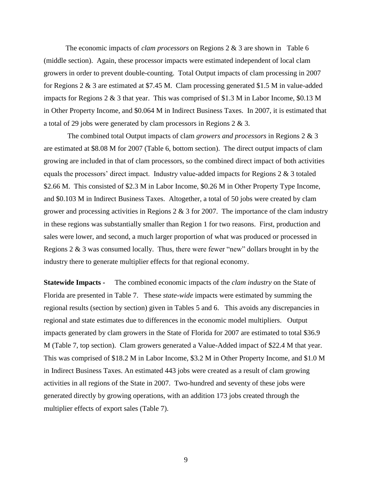The economic impacts of *clam processors* on Regions 2 & 3 are shown in Table 6 (middle section). Again, these processor impacts were estimated independent of local clam growers in order to prevent double-counting. Total Output impacts of clam processing in 2007 for Regions 2 & 3 are estimated at \$7.45 M. Clam processing generated \$1.5 M in value-added impacts for Regions 2 & 3 that year. This was comprised of \$1.3 M in Labor Income, \$0.13 M in Other Property Income, and \$0.064 M in Indirect Business Taxes. In 2007, it is estimated that a total of 29 jobs were generated by clam processors in Regions 2 & 3.

The combined total Output impacts of clam *growers and processors* in Regions 2 & 3 are estimated at \$8.08 M for 2007 (Table 6, bottom section). The direct output impacts of clam growing are included in that of clam processors, so the combined direct impact of both activities equals the processors' direct impact. Industry value-added impacts for Regions 2 & 3 totaled \$2.66 M. This consisted of \$2.3 M in Labor Income, \$0.26 M in Other Property Type Income, and \$0.103 M in Indirect Business Taxes. Altogether, a total of 50 jobs were created by clam grower and processing activities in Regions  $2 \& 3$  for 2007. The importance of the clam industry in these regions was substantially smaller than Region 1 for two reasons. First, production and sales were lower, and second, a much larger proportion of what was produced or processed in Regions 2 & 3 was consumed locally. Thus, there were fewer "new" dollars brought in by the industry there to generate multiplier effects for that regional economy.

**Statewide Impacts -** The combined economic impacts of the *clam industry* on the State of Florida are presented in Table 7. These *state-wide* impacts were estimated by summing the regional results (section by section) given in Tables 5 and 6. This avoids any discrepancies in regional and state estimates due to differences in the economic model multipliers. Output impacts generated by clam growers in the State of Florida for 2007 are estimated to total \$36.9 M (Table 7, top section). Clam growers generated a Value-Added impact of \$22.4 M that year. This was comprised of \$18.2 M in Labor Income, \$3.2 M in Other Property Income, and \$1.0 M in Indirect Business Taxes. An estimated 443 jobs were created as a result of clam growing activities in all regions of the State in 2007. Two-hundred and seventy of these jobs were generated directly by growing operations, with an addition 173 jobs created through the multiplier effects of export sales (Table 7).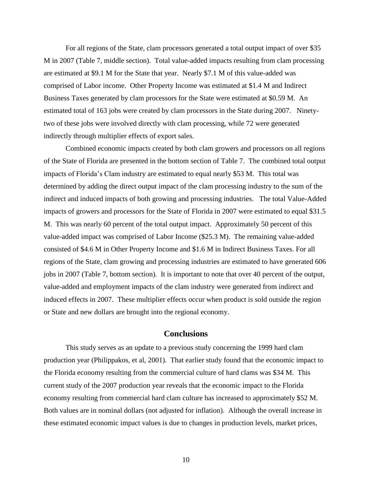For all regions of the State, clam processors generated a total output impact of over \$35 M in 2007 (Table 7, middle section). Total value-added impacts resulting from clam processing are estimated at \$9.1 M for the State that year. Nearly \$7.1 M of this value-added was comprised of Labor income. Other Property Income was estimated at \$1.4 M and Indirect Business Taxes generated by clam processors for the State were estimated at \$0.59 M. An estimated total of 163 jobs were created by clam processors in the State during 2007. Ninetytwo of these jobs were involved directly with clam processing, while 72 were generated indirectly through multiplier effects of export sales.

Combined economic impacts created by both clam growers and processors on all regions of the State of Florida are presented in the bottom section of Table 7. The combined total output impacts of Florida's Clam industry are estimated to equal nearly \$53 M. This total was determined by adding the direct output impact of the clam processing industry to the sum of the indirect and induced impacts of both growing and processing industries. The total Value-Added impacts of growers and processors for the State of Florida in 2007 were estimated to equal \$31.5 M. This was nearly 60 percent of the total output impact. Approximately 50 percent of this value-added impact was comprised of Labor Income (\$25.3 M). The remaining value-added consisted of \$4.6 M in Other Property Income and \$1.6 M in Indirect Business Taxes. For all regions of the State, clam growing and processing industries are estimated to have generated 606 jobs in 2007 (Table 7, bottom section). It is important to note that over 40 percent of the output, value-added and employment impacts of the clam industry were generated from indirect and induced effects in 2007. These multiplier effects occur when product is sold outside the region or State and new dollars are brought into the regional economy.

#### **Conclusions**

This study serves as an update to a previous study concerning the 1999 hard clam production year (Philippakos, et al, 2001). That earlier study found that the economic impact to the Florida economy resulting from the commercial culture of hard clams was \$34 M. This current study of the 2007 production year reveals that the economic impact to the Florida economy resulting from commercial hard clam culture has increased to approximately \$52 M. Both values are in nominal dollars (not adjusted for inflation). Although the overall increase in these estimated economic impact values is due to changes in production levels, market prices,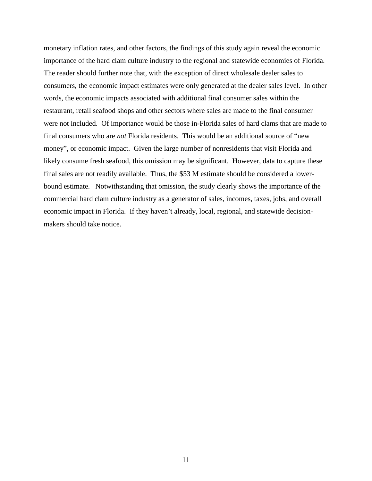monetary inflation rates, and other factors, the findings of this study again reveal the economic importance of the hard clam culture industry to the regional and statewide economies of Florida. The reader should further note that, with the exception of direct wholesale dealer sales to consumers, the economic impact estimates were only generated at the dealer sales level. In other words, the economic impacts associated with additional final consumer sales within the restaurant, retail seafood shops and other sectors where sales are made to the final consumer were not included. Of importance would be those in-Florida sales of hard clams that are made to final consumers who are *not* Florida residents. This would be an additional source of "new money", or economic impact. Given the large number of nonresidents that visit Florida and likely consume fresh seafood, this omission may be significant. However, data to capture these final sales are not readily available. Thus, the \$53 M estimate should be considered a lowerbound estimate. Notwithstanding that omission, the study clearly shows the importance of the commercial hard clam culture industry as a generator of sales, incomes, taxes, jobs, and overall economic impact in Florida. If they haven't already, local, regional, and statewide decisionmakers should take notice.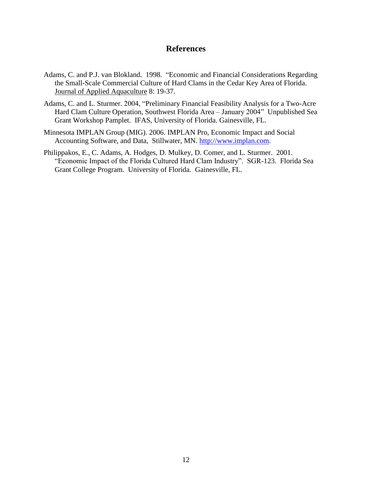## **References**

- Adams, C. and P.J. van Blokland. 1998. "Economic and Financial Considerations Regarding the Small-Scale Commercial Culture of Hard Clams in the Cedar Key Area of Florida. Journal of Applied Aquaculture 8: 19-37.
- Adams, C. and L. Sturmer. 2004, "Preliminary Financial Feasibility Analysis for a Two-Acre Hard Clam Culture Operation, Southwest Florida Area – January 2004" Unpublished Sea Grant Workshop Pamplet. IFAS, University of Florida. Gainesville, FL.
- Minnesota IMPLAN Group (MIG). 2006. IMPLAN Pro, Economic Impact and Social Accounting Software, and Data, Stillwater, MN. [http://www.implan.com.](http://www.implan.com/)
- Philippakos, E., C. Adams, A. Hodges, D. Mulkey, D. Comer, and L. Sturmer. 2001. "Economic Impact of the Florida Cultured Hard Clam Industry". SGR-123. Florida Sea Grant College Program. University of Florida. Gainesville, FL.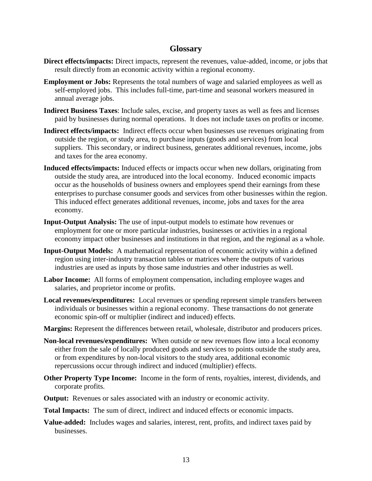## **Glossary**

- **Direct effects/impacts:** Direct impacts, represent the revenues, value-added, income, or jobs that result directly from an economic activity within a regional economy.
- **Employment or Jobs:** Represents the total numbers of wage and salaried employees as well as self-employed jobs. This includes full-time, part-time and seasonal workers measured in annual average jobs.
- **Indirect Business Taxes**: Include sales, excise, and property taxes as well as fees and licenses paid by businesses during normal operations. It does not include taxes on profits or income.
- **Indirect effects/impacts:** Indirect effects occur when businesses use revenues originating from outside the region, or study area, to purchase inputs (goods and services) from local suppliers. This secondary, or indirect business, generates additional revenues, income, jobs and taxes for the area economy.
- **Induced effects/impacts:** Induced effects or impacts occur when new dollars, originating from outside the study area, are introduced into the local economy. Induced economic impacts occur as the households of business owners and employees spend their earnings from these enterprises to purchase consumer goods and services from other businesses within the region. This induced effect generates additional revenues, income, jobs and taxes for the area economy.
- **Input-Output Analysis:** The use of input-output models to estimate how revenues or employment for one or more particular industries, businesses or activities in a regional economy impact other businesses and institutions in that region, and the regional as a whole.
- **Input-Output Models:** A mathematical representation of economic activity within a defined region using inter-industry transaction tables or matrices where the outputs of various industries are used as inputs by those same industries and other industries as well.
- **Labor Income:** All forms of employment compensation, including employee wages and salaries, and proprietor income or profits.
- **Local revenues/expenditures:** Local revenues or spending represent simple transfers between individuals or businesses within a regional economy. These transactions do not generate economic spin-off or multiplier (indirect and induced) effects.
- **Margins:** Represent the differences between retail, wholesale, distributor and producers prices.
- **Non-local revenues/expenditures:** When outside or new revenues flow into a local economy either from the sale of locally produced goods and services to points outside the study area, or from expenditures by non-local visitors to the study area, additional economic repercussions occur through indirect and induced (multiplier) effects.
- **Other Property Type Income:** Income in the form of rents, royalties, interest, dividends, and corporate profits.
- **Output:** Revenues or sales associated with an industry or economic activity.
- **Total Impacts:** The sum of direct, indirect and induced effects or economic impacts.
- **Value-added:** Includes wages and salaries, interest, rent, profits, and indirect taxes paid by businesses.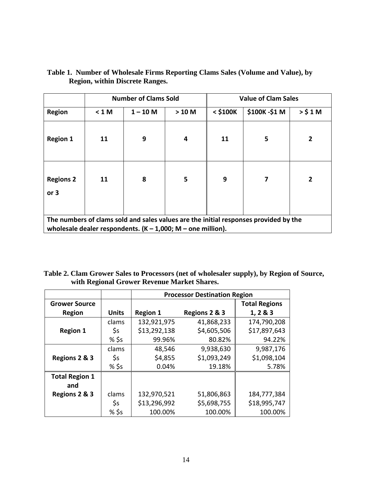|                                                                                                                                                       | <b>Number of Clams Sold</b> |            |         | <b>Value of Clam Sales</b> |              |                |
|-------------------------------------------------------------------------------------------------------------------------------------------------------|-----------------------------|------------|---------|----------------------------|--------------|----------------|
| <b>Region</b>                                                                                                                                         | < 1 M                       | $1 - 10 M$ | $>10$ M | $<$ \$100 $K$              | \$100K-\$1 M | $>$ \$1M       |
| <b>Region 1</b>                                                                                                                                       | 11                          | 9          | 4       | 11                         | 5            | $\overline{2}$ |
| <b>Regions 2</b><br>or $3$                                                                                                                            | 11                          | 8          | 5       | 9                          | 7            | 2              |
| The numbers of clams sold and sales values are the initial responses provided by the<br>wholesale dealer respondents. $(K - 1,000; M -$ one million). |                             |            |         |                            |              |                |

**Table 1. Number of Wholesale Firms Reporting Clams Sales (Volume and Value), by Region, within Discrete Ranges.**

|                                             | Table 2. Clam Grower Sales to Processors (net of wholesaler supply), by Region of Source, |
|---------------------------------------------|-------------------------------------------------------------------------------------------|
| with Regional Grower Revenue Market Shares. |                                                                                           |

|                       |                | <b>Processor Destination Region</b> |               |                      |  |
|-----------------------|----------------|-------------------------------------|---------------|----------------------|--|
| <b>Grower Source</b>  |                |                                     |               | <b>Total Regions</b> |  |
| <b>Region</b>         | <b>Units</b>   | <b>Region 1</b>                     | Regions 2 & 3 | 1, 2 & 3             |  |
|                       | clams          | 132,921,975                         | 41,868,233    | 174,790,208          |  |
| <b>Region 1</b>       | \$s            | \$13,292,138                        | \$4,605,506   | \$17,897,643         |  |
|                       | % \$s          | 99.96%                              | 80.82%        | 94.22%               |  |
|                       | clams          | 48,546                              | 9,938,630     | 9,987,176            |  |
| Regions 2 & 3         | \$s            | \$4,855                             | \$1,093,249   | \$1,098,104          |  |
|                       | % \$s          | 0.04%                               | 19.18%        | 5.78%                |  |
| <b>Total Region 1</b> |                |                                     |               |                      |  |
| and                   |                |                                     |               |                      |  |
| Regions 2 & 3         | clams          | 132,970,521                         | 51,806,863    | 184,777,384          |  |
|                       | $\mathsf{S}$ s | \$13,296,992                        | \$5,698,755   | \$18,995,747         |  |
|                       | % \$s          | 100.00%                             | 100.00%       | 100.00%              |  |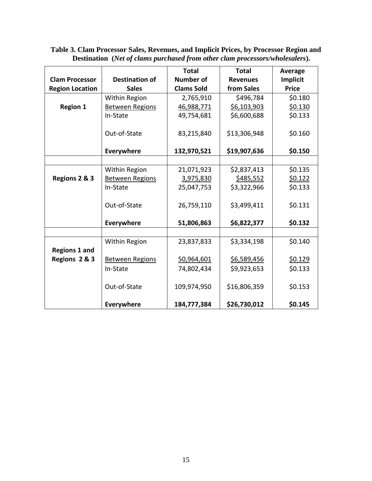|                        |                        | <b>Total</b>      | <b>Total</b>    | Average         |
|------------------------|------------------------|-------------------|-----------------|-----------------|
| <b>Clam Processor</b>  | <b>Destination of</b>  | <b>Number of</b>  | <b>Revenues</b> | <b>Implicit</b> |
| <b>Region Location</b> | <b>Sales</b>           | <b>Clams Sold</b> | from Sales      | <b>Price</b>    |
|                        | Within Region          | 2,765,910         | \$496,784       | \$0.180         |
| <b>Region 1</b>        | <b>Between Regions</b> | 46,988,771        | \$6,103,903     | \$0.130         |
|                        | In-State               | 49,754,681        | \$6,600,688     | \$0.133         |
|                        |                        |                   |                 |                 |
|                        | Out-of-State           | 83,215,840        | \$13,306,948    | \$0.160         |
|                        |                        |                   |                 |                 |
|                        | Everywhere             | 132,970,521       | \$19,907,636    | \$0.150         |
|                        |                        |                   |                 |                 |
|                        | Within Region          | 21,071,923        | \$2,837,413     | \$0.135         |
| Regions 2 & 3          | <b>Between Regions</b> | 3,975,830         | \$485,552       | \$0.122         |
|                        | In-State               | 25,047,753        | \$3,322,966     | \$0.133         |
|                        |                        |                   |                 |                 |
|                        | Out-of-State           | 26,759,110        | \$3,499,411     | \$0.131         |
|                        |                        |                   |                 |                 |
|                        | Everywhere             | 51,806,863        | \$6,822,377     | \$0.132         |
|                        |                        |                   |                 |                 |
|                        | Within Region          | 23,837,833        | \$3,334,198     | \$0.140         |
| <b>Regions 1 and</b>   |                        |                   |                 |                 |
| Regions 2 & 3          | <b>Between Regions</b> | 50,964,601        | \$6,589,456     | \$0.129         |
|                        | In-State               | 74,802,434        | \$9,923,653     | \$0.133         |
|                        |                        |                   |                 |                 |
|                        | Out-of-State           | 109,974,950       | \$16,806,359    | \$0.153         |
|                        |                        |                   |                 |                 |
|                        | Everywhere             | 184,777,384       | \$26,730,012    | \$0.145         |

**Table 3. Clam Processor Sales, Revenues, and Implicit Prices, by Processor Region and Destination (***Net of clams purchased from other clam processors/wholesalers***).**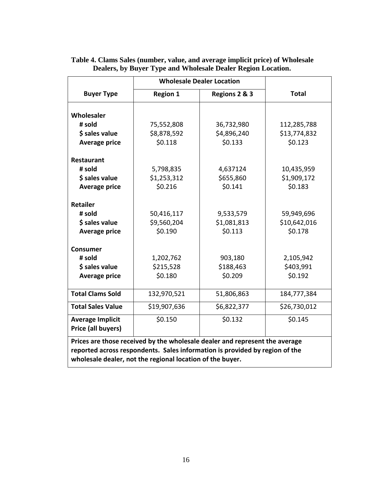|                                                                                                                                                                                                                         | <b>Wholesale Dealer Location</b> |               |              |  |
|-------------------------------------------------------------------------------------------------------------------------------------------------------------------------------------------------------------------------|----------------------------------|---------------|--------------|--|
| <b>Buyer Type</b>                                                                                                                                                                                                       | <b>Region 1</b>                  | Regions 2 & 3 | <b>Total</b> |  |
|                                                                                                                                                                                                                         |                                  |               |              |  |
| Wholesaler                                                                                                                                                                                                              |                                  |               |              |  |
| # sold                                                                                                                                                                                                                  | 75,552,808                       | 36,732,980    | 112,285,788  |  |
| \$ sales value                                                                                                                                                                                                          | \$8,878,592                      | \$4,896,240   | \$13,774,832 |  |
| <b>Average price</b>                                                                                                                                                                                                    | \$0.118                          | \$0.133       | \$0.123      |  |
| <b>Restaurant</b>                                                                                                                                                                                                       |                                  |               |              |  |
| # sold                                                                                                                                                                                                                  | 5,798,835                        | 4,637124      | 10,435,959   |  |
| \$ sales value                                                                                                                                                                                                          | \$1,253,312                      | \$655,860     | \$1,909,172  |  |
| <b>Average price</b>                                                                                                                                                                                                    | \$0.216                          | \$0.141       | \$0.183      |  |
|                                                                                                                                                                                                                         |                                  |               |              |  |
| <b>Retailer</b>                                                                                                                                                                                                         |                                  |               |              |  |
| # sold                                                                                                                                                                                                                  | 50,416,117                       | 9,533,579     | 59,949,696   |  |
| \$ sales value                                                                                                                                                                                                          | \$9,560,204                      | \$1,081,813   | \$10,642,016 |  |
| <b>Average price</b>                                                                                                                                                                                                    | \$0.190                          | \$0.113       | \$0.178      |  |
|                                                                                                                                                                                                                         |                                  |               |              |  |
| <b>Consumer</b>                                                                                                                                                                                                         |                                  |               |              |  |
| # sold                                                                                                                                                                                                                  | 1,202,762                        | 903,180       | 2,105,942    |  |
| \$ sales value                                                                                                                                                                                                          | \$215,528                        | \$188,463     | \$403,991    |  |
| <b>Average price</b>                                                                                                                                                                                                    | \$0.180                          | \$0.209       | \$0.192      |  |
| <b>Total Clams Sold</b>                                                                                                                                                                                                 | 132,970,521                      | 51,806,863    | 184,777,384  |  |
| <b>Total Sales Value</b>                                                                                                                                                                                                | \$19,907,636                     | \$6,822,377   | \$26,730,012 |  |
| <b>Average Implicit</b><br>Price (all buyers)                                                                                                                                                                           | \$0.150                          | \$0.132       | \$0.145      |  |
| Prices are those received by the wholesale dealer and represent the average<br>reported across respondents. Sales information is provided by region of the<br>wholesale dealer, not the regional location of the buyer. |                                  |               |              |  |

## **Table 4. Clams Sales (number, value, and average implicit price) of Wholesale Dealers, by Buyer Type and Wholesale Dealer Region Location.**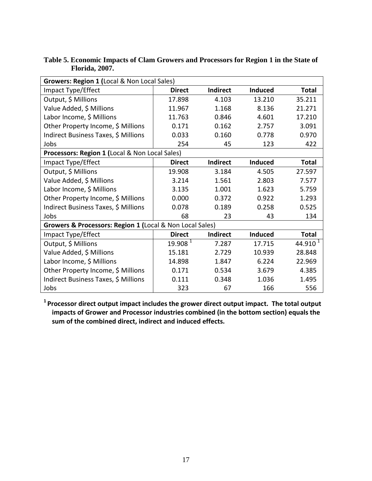| Growers: Region 1 (Local & Non Local Sales)              |                     |          |                |              |  |
|----------------------------------------------------------|---------------------|----------|----------------|--------------|--|
| Impact Type/Effect                                       | <b>Direct</b>       | Indirect | Induced        | <b>Total</b> |  |
| Output, \$ Millions                                      | 17.898              | 4.103    | 13.210         | 35.211       |  |
| Value Added, \$ Millions                                 | 11.967              | 1.168    | 8.136          | 21.271       |  |
| Labor Income, \$ Millions                                | 11.763              | 0.846    | 4.601          | 17.210       |  |
| Other Property Income, \$ Millions                       | 0.171               | 0.162    | 2.757          | 3.091        |  |
| Indirect Business Taxes, \$ Millions                     | 0.033               | 0.160    | 0.778          | 0.970        |  |
| Jobs                                                     | 254                 | 45       | 123            | 422          |  |
| Processors: Region 1 (Local & Non Local Sales)           |                     |          |                |              |  |
| Impact Type/Effect                                       | <b>Direct</b>       | Indirect | <b>Induced</b> | <b>Total</b> |  |
| Output, \$ Millions                                      | 19.908              | 3.184    | 4.505          | 27.597       |  |
| Value Added, \$ Millions                                 | 3.214               | 1.561    | 2.803          | 7.577        |  |
| Labor Income, \$ Millions                                | 3.135               | 1.001    | 1.623          | 5.759        |  |
| Other Property Income, \$ Millions                       | 0.000               | 0.372    | 0.922          | 1.293        |  |
| Indirect Business Taxes, \$ Millions                     | 0.078               | 0.189    | 0.258          | 0.525        |  |
| Jobs                                                     | 68                  | 23       | 43             | 134          |  |
| Growers & Processors: Region 1 (Local & Non Local Sales) |                     |          |                |              |  |
| Impact Type/Effect                                       | <b>Direct</b>       | Indirect | Induced        | <b>Total</b> |  |
| Output, \$ Millions                                      | 19.908 <sup>1</sup> | 7.287    | 17.715         | 44.910 $1$   |  |
| Value Added, \$ Millions                                 | 15.181              | 2.729    | 10.939         | 28.848       |  |
| Labor Income, \$ Millions                                | 14.898              | 1.847    | 6.224          | 22.969       |  |
| Other Property Income, \$ Millions                       | 0.171               | 0.534    | 3.679          | 4.385        |  |
| Indirect Business Taxes, \$ Millions                     | 0.111               | 0.348    | 1.036          | 1.495        |  |
| Jobs                                                     | 323                 | 67       | 166            | 556          |  |

**Table 5. Economic Impacts of Clam Growers and Processors for Region 1 in the State of Florida, 2007.** 

**1 Processor direct output impact includes the grower direct output impact. The total output impacts of Grower and Processor industries combined (in the bottom section) equals the sum of the combined direct, indirect and induced effects.**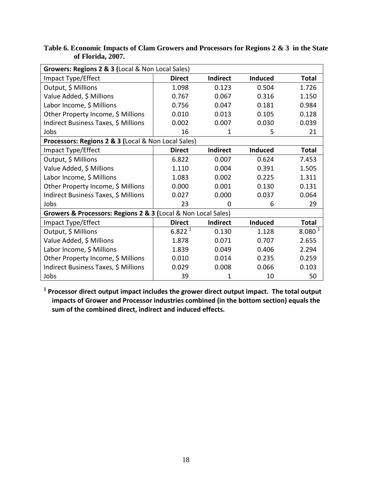| Growers: Regions 2 & 3 (Local & Non Local Sales)              |               |                 |                |                    |  |
|---------------------------------------------------------------|---------------|-----------------|----------------|--------------------|--|
| Impact Type/Effect                                            | <b>Direct</b> | <b>Indirect</b> | <b>Induced</b> | <b>Total</b>       |  |
| Output, \$ Millions                                           | 1.098         | 0.123           | 0.504          | 1.726              |  |
| Value Added, \$ Millions                                      | 0.767         | 0.067           | 0.316          | 1.150              |  |
| Labor Income, \$ Millions                                     | 0.756         | 0.047           | 0.181          | 0.984              |  |
| Other Property Income, \$ Millions                            | 0.010         | 0.013           | 0.105          | 0.128              |  |
| Indirect Business Taxes, \$ Millions                          | 0.002         | 0.007           | 0.030          | 0.039              |  |
| Jobs                                                          | 16            | 1               | 5              | 21                 |  |
| Processors: Regions 2 & 3 (Local & Non Local Sales)           |               |                 |                |                    |  |
| Impact Type/Effect                                            | <b>Direct</b> | <b>Indirect</b> | <b>Induced</b> | <b>Total</b>       |  |
| Output, \$ Millions                                           | 6.822         | 0.007           | 0.624          | 7.453              |  |
| Value Added, \$ Millions                                      | 1.110         | 0.004           | 0.391          | 1.505              |  |
| Labor Income, \$ Millions                                     | 1.083         | 0.002           | 0.225          | 1.311              |  |
| Other Property Income, \$ Millions                            | 0.000         | 0.001           | 0.130          | 0.131              |  |
| Indirect Business Taxes, \$ Millions                          | 0.027         | 0.000           | 0.037          | 0.064              |  |
| Jobs                                                          | 23            | 0               | 6              | 29                 |  |
| Growers & Processors: Regions 2 & 3 (Local & Non Local Sales) |               |                 |                |                    |  |
| Impact Type/Effect                                            | <b>Direct</b> | <b>Indirect</b> | <b>Induced</b> | <b>Total</b>       |  |
| Output, \$ Millions                                           | $6.822^{1}$   | 0.130           | 1.128          | 8.080 <sup>1</sup> |  |
| Value Added, \$ Millions                                      | 1.878         | 0.071           | 0.707          | 2.655              |  |
| Labor Income, \$ Millions                                     | 1.839         | 0.049           | 0.406          | 2.294              |  |
| Other Property Income, \$ Millions                            | 0.010         | 0.014           | 0.235          | 0.259              |  |
| Indirect Business Taxes, \$ Millions                          | 0.029         | 0.008           | 0.066          | 0.103              |  |
| Jobs                                                          | 39            | 1               | 10             | 50                 |  |

**Table 6. Economic Impacts of Clam Growers and Processors for Regions 2 & 3 in the State of Florida, 2007.**

**1 Processor direct output impact includes the grower direct output impact. The total output impacts of Grower and Processor industries combined (in the bottom section) equals the sum of the combined direct, indirect and induced effects.**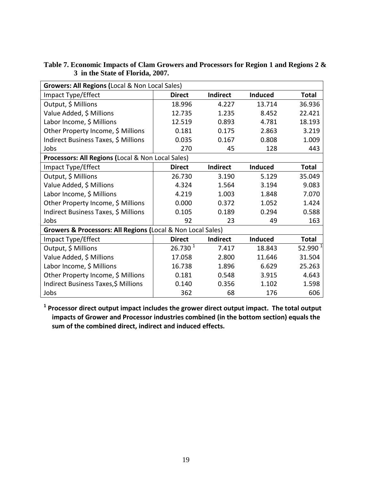| Growers: All Regions (Local & Non Local Sales)              |                     |                 |                |              |  |
|-------------------------------------------------------------|---------------------|-----------------|----------------|--------------|--|
| Impact Type/Effect                                          | <b>Direct</b>       | <b>Indirect</b> | Induced        | <b>Total</b> |  |
| Output, \$ Millions                                         | 18.996              | 4.227           | 13.714         | 36.936       |  |
| Value Added, \$ Millions                                    | 12.735              | 1.235           | 8.452          | 22.421       |  |
| Labor Income, \$ Millions                                   | 12.519              | 0.893           | 4.781          | 18.193       |  |
| Other Property Income, \$ Millions                          | 0.181               | 0.175           | 2.863          | 3.219        |  |
| Indirect Business Taxes, \$ Millions                        | 0.035               | 0.167           | 0.808          | 1.009        |  |
| Jobs                                                        | 270                 | 45              | 128            | 443          |  |
| Processors: All Regions (Local & Non Local Sales)           |                     |                 |                |              |  |
| Impact Type/Effect                                          | <b>Direct</b>       | Indirect        | <b>Induced</b> | <b>Total</b> |  |
| Output, \$ Millions                                         | 26.730              | 3.190           | 5.129          | 35.049       |  |
| Value Added, \$ Millions                                    | 4.324               | 1.564           | 3.194          | 9.083        |  |
| Labor Income, \$ Millions                                   | 4.219               | 1.003           | 1.848          | 7.070        |  |
| Other Property Income, \$ Millions                          | 0.000               | 0.372           | 1.052          | 1.424        |  |
| Indirect Business Taxes, \$ Millions                        | 0.105               | 0.189           | 0.294          | 0.588        |  |
| Jobs                                                        | 92                  | 23              | 49             | 163          |  |
| Growers & Processors: All Regions (Local & Non Local Sales) |                     |                 |                |              |  |
| Impact Type/Effect                                          | <b>Direct</b>       | Indirect        | <b>Induced</b> | <b>Total</b> |  |
| Output, \$ Millions                                         | 26.730 <sup>1</sup> | 7.417           | 18.843         | 52.990 $^1$  |  |
| Value Added, \$ Millions                                    | 17.058              | 2.800           | 11.646         | 31.504       |  |
| Labor Income, \$ Millions                                   | 16.738              | 1.896           | 6.629          | 25.263       |  |
| Other Property Income, \$ Millions                          | 0.181               | 0.548           | 3.915          | 4.643        |  |
| Indirect Business Taxes, \$ Millions                        | 0.140               | 0.356           | 1.102          | 1.598        |  |
| Jobs                                                        | 362                 | 68              | 176            | 606          |  |

**Table 7. Economic Impacts of Clam Growers and Processors for Region 1 and Regions 2 & 3 in the State of Florida, 2007.**

**1 Processor direct output impact includes the grower direct output impact. The total output impacts of Grower and Processor industries combined (in the bottom section) equals the sum of the combined direct, indirect and induced effects.**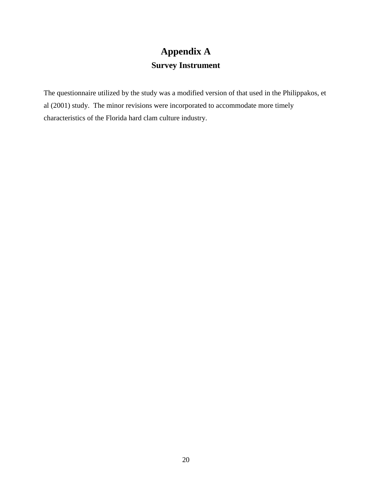# **Appendix A Survey Instrument**

The questionnaire utilized by the study was a modified version of that used in the Philippakos, et al (2001) study. The minor revisions were incorporated to accommodate more timely characteristics of the Florida hard clam culture industry.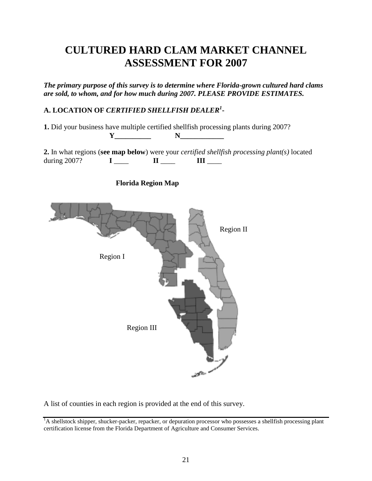# **CULTURED HARD CLAM MARKET CHANNEL ASSESSMENT FOR 2007**

*The primary purpose of this survey is to determine where Florida-grown cultured hard clams are sold, to whom, and for how much during 2007. PLEASE PROVIDE ESTIMATES.*

## **A. LOCATION OF** *CERTIFIED SHELLFISH DEALER<sup>1</sup>* **-**

**1.** Did your business have multiple certified shellfish processing plants during 2007?

**2.** In what regions (**see map below**) were your *certified shellfish processing plant(s)* located during 2007? **I** \_\_\_\_ **II** \_\_\_\_ **III** \_\_\_\_



**Florida Region Map**

**Y\_\_\_\_\_\_\_\_\_\_ N\_\_\_\_\_\_\_\_\_\_\_\_**

A list of counties in each region is provided at the end of this survey.

<sup>&</sup>lt;sup>1</sup>A shellstock shipper, shucker-packer, repacker, or depuration processor who possesses a shellfish processing plant certification license from the Florida Department of Agriculture and Consumer Services.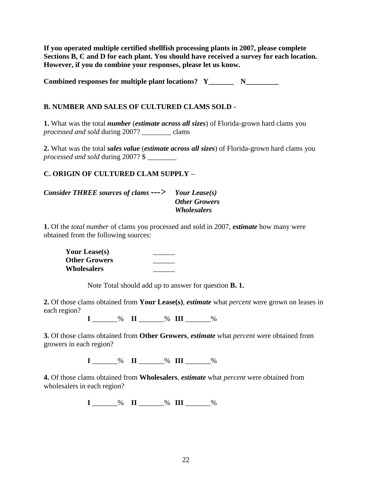**If you operated multiple certified shellfish processing plants in 2007, please complete Sections B, C and D for each plant. You should have received a survey for each location. However, if you do combine your responses, please let us know.**

Combined responses for multiple plant locations? Y\_\_\_\_\_\_\_\_\_\_\_\_\_\_\_\_\_\_\_\_\_\_\_\_\_\_\_\_\_\_\_\_

## **B. NUMBER AND SALES OF CULTURED CLAMS SOLD -**

**1.** What was the total *number* (*estimate across all sizes*) of Florida-grown hard clams you *processed and sold* during 2007? \_\_\_\_\_\_\_\_ clams

**2.** What was the total *sales value* (*estimate across all sizes*) of Florida-grown hard clams you *processed and sold* during 2007? \$ \_\_\_\_\_\_\_\_

## **C. ORIGIN OF CULTURED CLAM SUPPLY –**

| Consider THREE sources of clams $---$ Your Lease(s) |                      |
|-----------------------------------------------------|----------------------|
|                                                     | <b>Other Growers</b> |
|                                                     | Wholesalers          |

**1.** Of the *total number* of clams you processed and sold in 2007, *estimate* how many were obtained from the following sources:

**Your Lease(s)** \_\_\_\_\_\_ **Other Growers** \_\_\_\_\_\_ **Wholesalers** \_\_\_\_\_\_

Note Total should add up to answer for question **B. 1.**

**2.** Of those clams obtained from **Your Lease(s)**, *estimate* what *percent* were grown on leases in each region?

**I**  $\%$  **II**  $\%$  **III**  $\%$ 

**3.** Of those clams obtained from **Other Growers**, *estimate* what *percent* were obtained from growers in each region?

**I** \_\_\_\_\_\_\_% **II** \_\_\_\_\_\_\_% **III** \_\_\_\_\_\_\_%

**4.** Of those clams obtained from **Wholesalers**, *estimate* what *percent* were obtained from wholesalers in each region?

**I** \_\_\_\_\_\_\_% **II** \_\_\_\_\_\_\_% **III** \_\_\_\_\_\_\_%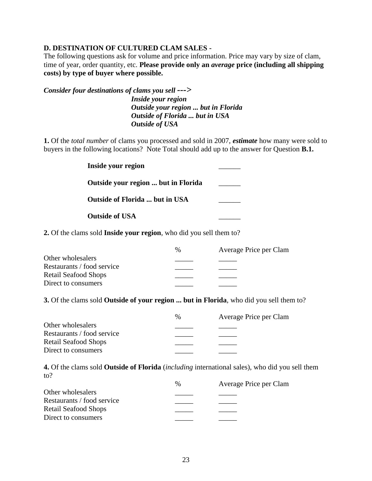### **D. DESTINATION OF CULTURED CLAM SALES -**

The following questions ask for volume and price information. Price may vary by size of clam, time of year, order quantity, etc. **Please provide only an** *average* **price (including all shipping costs) by type of buyer where possible.**

*Consider four destinations of clams you sell ---> Inside your region Outside your region ... but in Florida Outside of Florida ... but in USA Outside of USA*

**1.** Of the *total number* of clams you processed and sold in 2007, *estimate* how many were sold to buyers in the following locations? Note Total should add up to the answer for Question **B.1.**

| Inside your region                  |  |
|-------------------------------------|--|
| Outside your region  but in Florida |  |
| Outside of Florida  but in USA      |  |
| <b>Outside of USA</b>               |  |

**2.** Of the clams sold **Inside your region**, who did you sell them to?

|                             | $\%$ | Average Price per Clam |
|-----------------------------|------|------------------------|
| Other wholesalers           |      |                        |
| Restaurants / food service  |      |                        |
| <b>Retail Seafood Shops</b> |      |                        |
| Direct to consumers         |      |                        |
|                             |      |                        |

**3.** Of the clams sold **Outside of your region ... but in Florida**, who did you sell them to?

|                             | $\%$ | Average Price per Clam |
|-----------------------------|------|------------------------|
| Other wholesalers           |      |                        |
| Restaurants / food service  |      |                        |
| <b>Retail Seafood Shops</b> |      |                        |
| Direct to consumers         |      |                        |

**4.** Of the clams sold **Outside of Florida** (*including* international sales), who did you sell them to?

|                             | $\%$ | Average Price per Clam |
|-----------------------------|------|------------------------|
| Other wholesalers           |      |                        |
| Restaurants / food service  |      |                        |
| <b>Retail Seafood Shops</b> |      |                        |
| Direct to consumers         |      |                        |
|                             |      |                        |